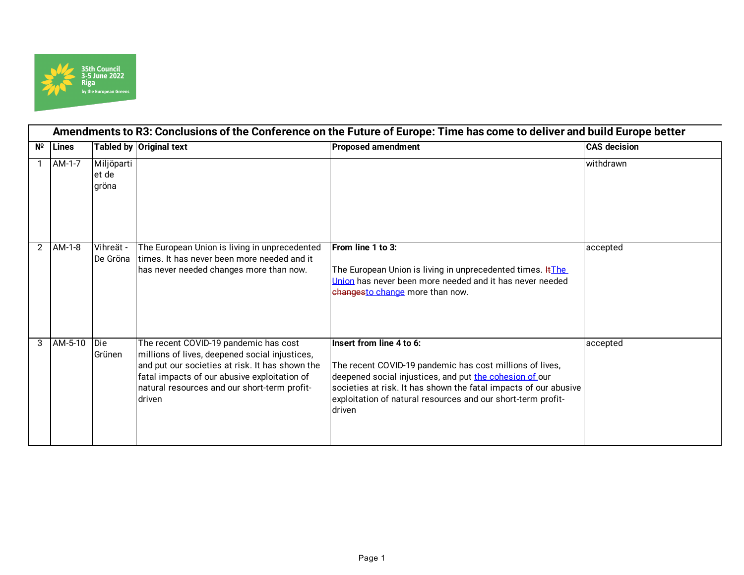

|                | Amendments to R3: Conclusions of the Conference on the Future of Europe: Time has come to deliver and build Europe better |                              |                                                                                                                                                                                                                                                      |                                                                                                                                                                                                                                                                                               |                     |  |  |
|----------------|---------------------------------------------------------------------------------------------------------------------------|------------------------------|------------------------------------------------------------------------------------------------------------------------------------------------------------------------------------------------------------------------------------------------------|-----------------------------------------------------------------------------------------------------------------------------------------------------------------------------------------------------------------------------------------------------------------------------------------------|---------------------|--|--|
| Nº             | <b>Lines</b>                                                                                                              |                              | Tabled by Original text                                                                                                                                                                                                                              | <b>Proposed amendment</b>                                                                                                                                                                                                                                                                     | <b>CAS decision</b> |  |  |
|                | AM-1-7                                                                                                                    | Miljöparti<br>et de<br>gröna |                                                                                                                                                                                                                                                      |                                                                                                                                                                                                                                                                                               | withdrawn           |  |  |
| $\overline{2}$ | AM-1-8                                                                                                                    | Vihreät -<br>De Gröna        | The European Union is living in unprecedented<br>times. It has never been more needed and it<br>has never needed changes more than now.                                                                                                              | From line 1 to 3:<br>The European Union is living in unprecedented times. #The<br>Union has never been more needed and it has never needed<br>changesto change more than now.                                                                                                                 | accepted            |  |  |
| 3              | $AM-5-10$                                                                                                                 | Die<br>Grünen                | The recent COVID-19 pandemic has cost<br>millions of lives, deepened social injustices,<br>and put our societies at risk. It has shown the<br>fatal impacts of our abusive exploitation of<br>natural resources and our short-term profit-<br>driven | Insert from line 4 to 6:<br>The recent COVID-19 pandemic has cost millions of lives,<br>deepened social injustices, and put the cohesion of our<br>societies at risk. It has shown the fatal impacts of our abusive<br>exploitation of natural resources and our short-term profit-<br>driven | accepted            |  |  |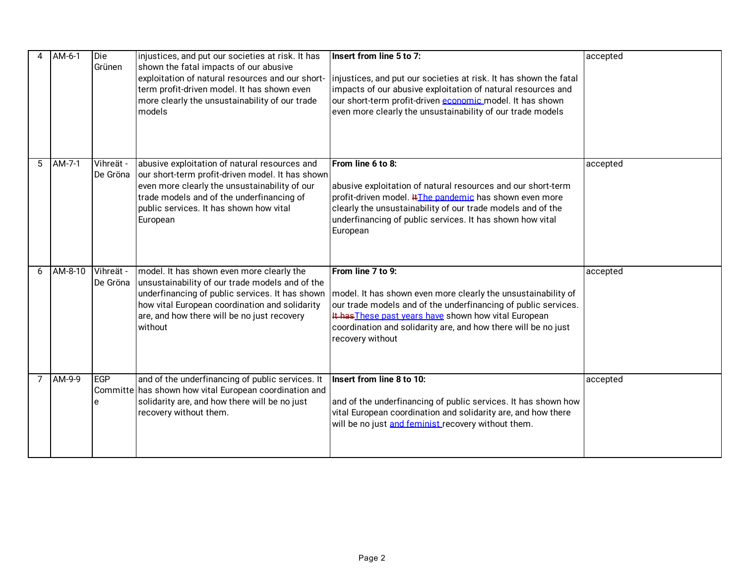|   | AM-6-1  | Die<br>Grünen         | injustices, and put our societies at risk. It has<br>shown the fatal impacts of our abusive<br>exploitation of natural resources and our short-<br>term profit-driven model. It has shown even<br>more clearly the unsustainability of our trade<br>models  | Insert from line 5 to 7:<br>injustices, and put our societies at risk. It has shown the fatal<br>impacts of our abusive exploitation of natural resources and<br>our short-term profit-driven economic model. It has shown<br>even more clearly the unsustainability of our trade models            | accepted |
|---|---------|-----------------------|-------------------------------------------------------------------------------------------------------------------------------------------------------------------------------------------------------------------------------------------------------------|-----------------------------------------------------------------------------------------------------------------------------------------------------------------------------------------------------------------------------------------------------------------------------------------------------|----------|
| 5 | AM-7-1  | Vihreät -<br>De Gröna | abusive exploitation of natural resources and<br>our short-term profit-driven model. It has shown<br>even more clearly the unsustainability of our<br>trade models and of the underfinancing of<br>public services. It has shown how vital<br>European      | From line 6 to 8:<br>abusive exploitation of natural resources and our short-term<br>profit-driven model. #The pandemic has shown even more<br>clearly the unsustainability of our trade models and of the<br>underfinancing of public services. It has shown how vital<br>European                 | accepted |
| 6 | AM-8-10 | Vihreät -<br>De Gröna | model. It has shown even more clearly the<br>unsustainability of our trade models and of the<br>underfinancing of public services. It has shown<br>how vital European coordination and solidarity<br>are, and how there will be no just recovery<br>without | From line 7 to 9:<br>model. It has shown even more clearly the unsustainability of<br>our trade models and of the underfinancing of public services.<br>It has These past years have shown how vital European<br>coordination and solidarity are, and how there will be no just<br>recovery without | accepted |
| 7 | AM-9-9  | EGP<br>e              | and of the underfinancing of public services. It<br>Committe has shown how vital European coordination and<br>solidarity are, and how there will be no just<br>recovery without them.                                                                       | Insert from line 8 to 10:<br>and of the underfinancing of public services. It has shown how<br>vital European coordination and solidarity are, and how there<br>will be no just and feminist recovery without them.                                                                                 | accepted |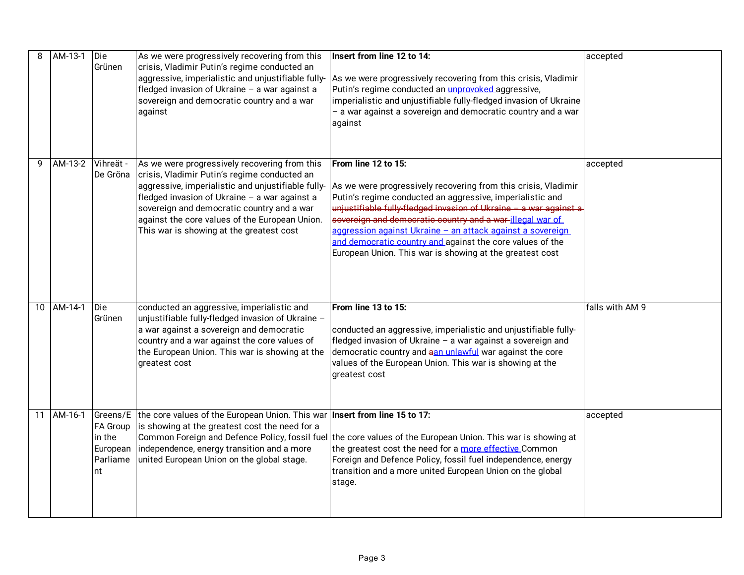| 8  | AM-13-1 | Die<br>Grünen                                    | As we were progressively recovering from this<br>crisis, Vladimir Putin's regime conducted an<br>aggressive, imperialistic and unjustifiable fully-<br>fledged invasion of Ukraine - a war against a<br>sovereign and democratic country and a war<br>against                                                                                    | Insert from line 12 to 14:<br>As we were progressively recovering from this crisis, Vladimir<br>Putin's regime conducted an unprovoked aggressive,<br>imperialistic and unjustifiable fully-fledged invasion of Ukraine<br>- a war against a sovereign and democratic country and a war<br>against                                                                                                                                                                          | accepted        |
|----|---------|--------------------------------------------------|--------------------------------------------------------------------------------------------------------------------------------------------------------------------------------------------------------------------------------------------------------------------------------------------------------------------------------------------------|-----------------------------------------------------------------------------------------------------------------------------------------------------------------------------------------------------------------------------------------------------------------------------------------------------------------------------------------------------------------------------------------------------------------------------------------------------------------------------|-----------------|
| 9  | AM-13-2 | Vihreät -<br>De Gröna                            | As we were progressively recovering from this<br>crisis, Vladimir Putin's regime conducted an<br>aggressive, imperialistic and unjustifiable fully-<br>fledged invasion of Ukraine - a war against a<br>sovereign and democratic country and a war<br>against the core values of the European Union.<br>This war is showing at the greatest cost | From line 12 to 15:<br>As we were progressively recovering from this crisis, Vladimir<br>Putin's regime conducted an aggressive, imperialistic and<br>unjustifiable fully-fledged invasion of Ukraine - a war against a<br>sovereign and democratic country and a war-illegal war of<br>aggression against Ukraine - an attack against a sovereign<br>and democratic country and against the core values of the<br>European Union. This war is showing at the greatest cost | accepted        |
| 10 | AM-14-1 | Die<br>Grünen                                    | conducted an aggressive, imperialistic and<br>unjustifiable fully-fledged invasion of Ukraine -<br>a war against a sovereign and democratic<br>country and a war against the core values of<br>the European Union. This war is showing at the<br>greatest cost                                                                                   | From line 13 to 15:<br>conducted an aggressive, imperialistic and unjustifiable fully-<br>fledged invasion of Ukraine - a war against a sovereign and<br>democratic country and aan unlawful war against the core<br>values of the European Union. This war is showing at the<br>greatest cost                                                                                                                                                                              | falls with AM 9 |
| 11 | AM-16-1 | FA Group<br>in the<br>European<br>Parliame<br>nt | Greens/E the core values of the European Union. This war Insert from line 15 to 17:<br>is showing at the greatest cost the need for a<br>independence, energy transition and a more<br>united European Union on the global stage.                                                                                                                | Common Foreign and Defence Policy, fossil fuel the core values of the European Union. This war is showing at<br>the greatest cost the need for a more effective Common<br>Foreign and Defence Policy, fossil fuel independence, energy<br>transition and a more united European Union on the global<br>stage.                                                                                                                                                               | accepted        |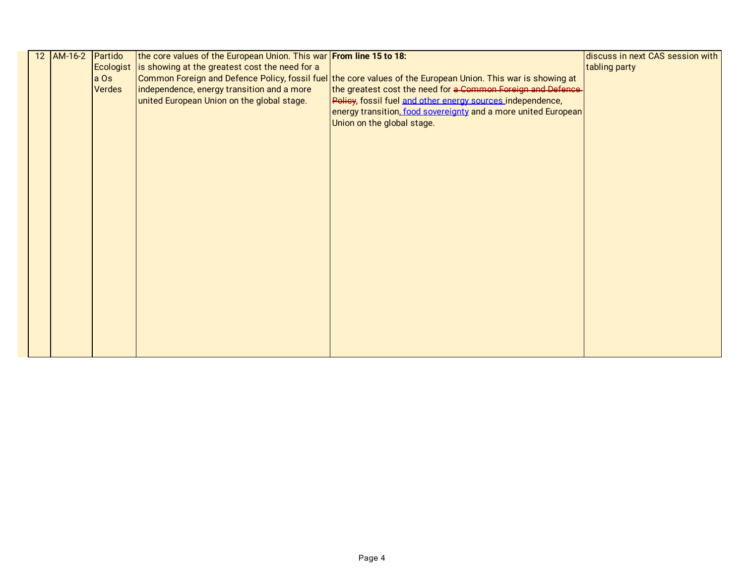| 12 AM-16-2 Partido |               | the core values of the European Union. This war From line 15 to 18: |                                                                                                              | discuss in next CAS session with |
|--------------------|---------------|---------------------------------------------------------------------|--------------------------------------------------------------------------------------------------------------|----------------------------------|
|                    | Ecologist     | is showing at the greatest cost the need for a                      |                                                                                                              | tabling party                    |
|                    | a Os          |                                                                     | Common Foreign and Defence Policy, fossil fuel the core values of the European Union. This war is showing at |                                  |
|                    | <b>Verdes</b> | independence, energy transition and a more                          | the greatest cost the need for a Common Foreign and Defence-                                                 |                                  |
|                    |               | united European Union on the global stage.                          | Policy, fossil fuel and other energy sources independence,                                                   |                                  |
|                    |               |                                                                     | energy transition, food sovereignty and a more united European                                               |                                  |
|                    |               |                                                                     | Union on the global stage.                                                                                   |                                  |
|                    |               |                                                                     |                                                                                                              |                                  |
|                    |               |                                                                     |                                                                                                              |                                  |
|                    |               |                                                                     |                                                                                                              |                                  |
|                    |               |                                                                     |                                                                                                              |                                  |
|                    |               |                                                                     |                                                                                                              |                                  |
|                    |               |                                                                     |                                                                                                              |                                  |
|                    |               |                                                                     |                                                                                                              |                                  |
|                    |               |                                                                     |                                                                                                              |                                  |
|                    |               |                                                                     |                                                                                                              |                                  |
|                    |               |                                                                     |                                                                                                              |                                  |
|                    |               |                                                                     |                                                                                                              |                                  |
|                    |               |                                                                     |                                                                                                              |                                  |
|                    |               |                                                                     |                                                                                                              |                                  |
|                    |               |                                                                     |                                                                                                              |                                  |
|                    |               |                                                                     |                                                                                                              |                                  |
|                    |               |                                                                     |                                                                                                              |                                  |
|                    |               |                                                                     |                                                                                                              |                                  |
|                    |               |                                                                     |                                                                                                              |                                  |
|                    |               |                                                                     |                                                                                                              |                                  |
|                    |               |                                                                     |                                                                                                              |                                  |
|                    |               |                                                                     |                                                                                                              |                                  |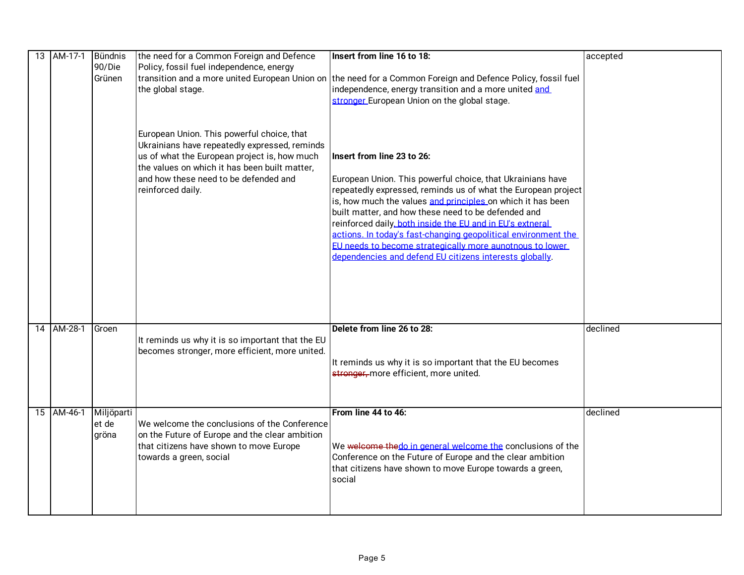| 13 AM-17-1 Bündnis | 90/Die<br>Grünen             | the need for a Common Foreign and Defence<br>Policy, fossil fuel independence, energy<br>the global stage.                                                                                                                                                 | Insert from line 16 to 18:<br>transition and a more united European Union on the need for a Common Foreign and Defence Policy, fossil fuel<br>independence, energy transition and a more united and<br>stronger European Union on the global stage.                                                                                                                                                                                                                                                                                   | accepted |
|--------------------|------------------------------|------------------------------------------------------------------------------------------------------------------------------------------------------------------------------------------------------------------------------------------------------------|---------------------------------------------------------------------------------------------------------------------------------------------------------------------------------------------------------------------------------------------------------------------------------------------------------------------------------------------------------------------------------------------------------------------------------------------------------------------------------------------------------------------------------------|----------|
|                    |                              | European Union. This powerful choice, that<br>Ukrainians have repeatedly expressed, reminds<br>us of what the European project is, how much<br>the values on which it has been built matter,<br>and how these need to be defended and<br>reinforced daily. | Insert from line 23 to 26:<br>European Union. This powerful choice, that Ukrainians have<br>repeatedly expressed, reminds us of what the European project<br>is, how much the values and principles on which it has been<br>built matter, and how these need to be defended and<br>reinforced daily, both inside the EU and in EU's extneral<br>actions. In today's fast-changing geopolitical environment the<br>EU needs to become strategically more aunotnous to lower<br>dependencies and defend EU citizens interests globally. |          |
| 14 AM-28-1         | Groen                        | It reminds us why it is so important that the EU<br>becomes stronger, more efficient, more united.                                                                                                                                                         | Delete from line 26 to 28:<br>It reminds us why it is so important that the EU becomes<br>stronger, more efficient, more united.                                                                                                                                                                                                                                                                                                                                                                                                      | declined |
| 15 AM-46-1         | Miljöparti<br>et de<br>gröna | We welcome the conclusions of the Conference<br>on the Future of Europe and the clear ambition<br>that citizens have shown to move Europe<br>towards a green, social                                                                                       | From line 44 to 46:<br>We welcome thedo in general welcome the conclusions of the<br>Conference on the Future of Europe and the clear ambition<br>that citizens have shown to move Europe towards a green,<br>social                                                                                                                                                                                                                                                                                                                  | declined |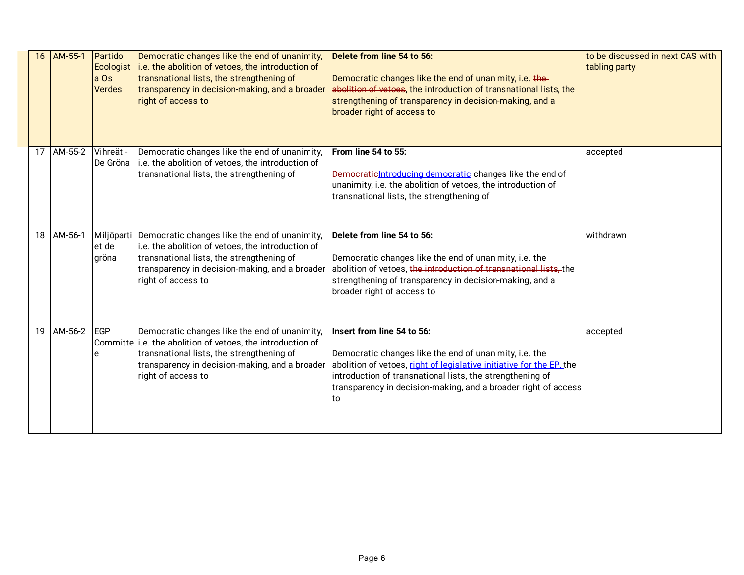| 16 | AM-55-1    | Partido<br>Ecologist<br>a Os<br><b>Verdes</b> | Democratic changes like the end of unanimity,<br>i.e. the abolition of vetoes, the introduction of<br>transnational lists, the strengthening of<br>transparency in decision-making, and a broader<br>right of access to          | Delete from line 54 to 56:<br>Democratic changes like the end of unanimity, i.e. the-<br>abolition of vetoes, the introduction of transnational lists, the<br>strengthening of transparency in decision-making, and a<br>broader right of access to                                               | to be discussed in next CAS with<br>tabling party |
|----|------------|-----------------------------------------------|----------------------------------------------------------------------------------------------------------------------------------------------------------------------------------------------------------------------------------|---------------------------------------------------------------------------------------------------------------------------------------------------------------------------------------------------------------------------------------------------------------------------------------------------|---------------------------------------------------|
|    | 17 AM-55-2 | Vihreät -<br>De Gröna                         | Democratic changes like the end of unanimity,<br>i.e. the abolition of vetoes, the introduction of<br>transnational lists, the strengthening of                                                                                  | From line 54 to 55:<br>Democratic Introducing democratic changes like the end of<br>unanimity, i.e. the abolition of vetoes, the introduction of<br>transnational lists, the strengthening of                                                                                                     | accepted                                          |
| 18 | AM-56-1    | Miljöparti<br>et de<br>gröna                  | Democratic changes like the end of unanimity,<br>i.e. the abolition of vetoes, the introduction of<br>transnational lists, the strengthening of<br>transparency in decision-making, and a broader<br>right of access to          | Delete from line 54 to 56:<br>Democratic changes like the end of unanimity, i.e. the<br>abolition of vetoes, the introduction of transnational lists, the<br>strengthening of transparency in decision-making, and a<br>broader right of access to                                                | withdrawn                                         |
|    | 19 AM-56-2 | EGP                                           | Democratic changes like the end of unanimity,<br>Committe i.e. the abolition of vetoes, the introduction of<br>transnational lists, the strengthening of<br>transparency in decision-making, and a broader<br>right of access to | Insert from line 54 to 56:<br>Democratic changes like the end of unanimity, i.e. the<br>abolition of vetoes, right of legislative initiative for the EP. the<br>introduction of transnational lists, the strengthening of<br>transparency in decision-making, and a broader right of access<br>to | accepted                                          |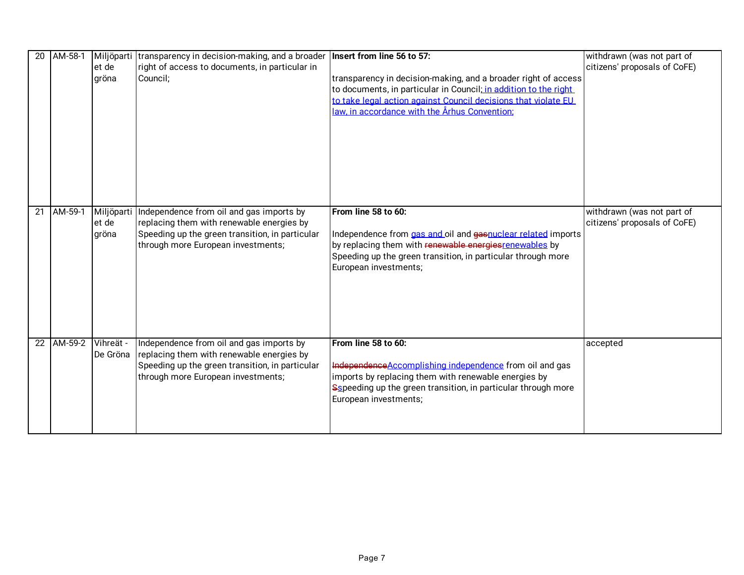| 20              | AM-58-1   | Miljöparti<br>et de<br>gröna | transparency in decision-making, and a broader   Insert from line 56 to 57:<br>right of access to documents, in particular in<br>Council:                                      | transparency in decision-making, and a broader right of access<br>to documents, in particular in Council; in addition to the right<br>to take legal action against Council decisions that violate EU<br>law, in accordance with the Århus Convention: | withdrawn (was not part of<br>citizens' proposals of CoFE) |
|-----------------|-----------|------------------------------|--------------------------------------------------------------------------------------------------------------------------------------------------------------------------------|-------------------------------------------------------------------------------------------------------------------------------------------------------------------------------------------------------------------------------------------------------|------------------------------------------------------------|
| 21              | $AM-59-1$ | Miljöparti<br>et de<br>gröna | Independence from oil and gas imports by<br>replacing them with renewable energies by<br>Speeding up the green transition, in particular<br>through more European investments; | From line 58 to 60:<br>Independence from gas and oil and gaspuclear related imports<br>by replacing them with renewable energies renewables by<br>Speeding up the green transition, in particular through more<br>European investments;               | withdrawn (was not part of<br>citizens' proposals of CoFE) |
| $\overline{22}$ | AM-59-2   | Vihreät -<br>De Gröna        | Independence from oil and gas imports by<br>replacing them with renewable energies by<br>Speeding up the green transition, in particular<br>through more European investments; | From line 58 to 60:<br>Independence Accomplishing independence from oil and gas<br>imports by replacing them with renewable energies by<br>Sspeeding up the green transition, in particular through more<br>European investments;                     | accepted                                                   |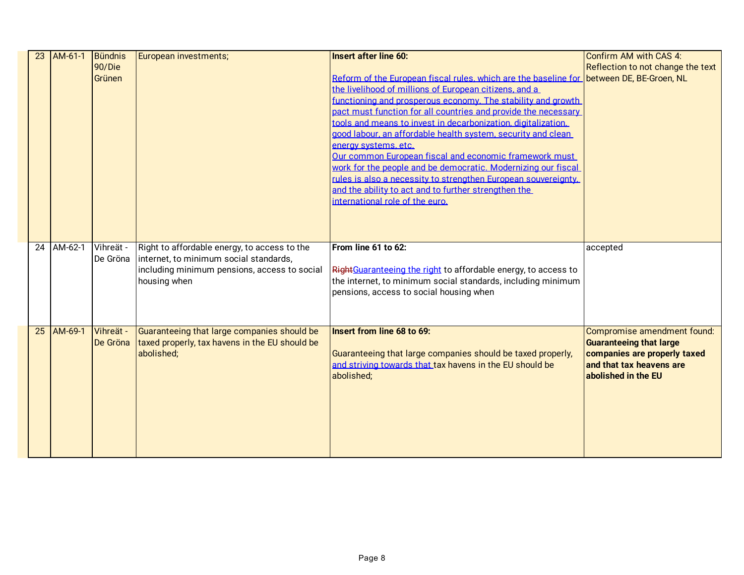| 23 | AM-61-1    | Bündnis<br>90/Die<br>Grünen | European investments;                                                                                                                                  | <b>Insert after line 60:</b><br>Reform of the European fiscal rules, which are the baseline for between DE, BE-Groen, NL<br>the livelihood of millions of European citizens, and a<br>functioning and prosperous economy. The stability and growth<br>pact must function for all countries and provide the necessary<br>tools and means to invest in decarbonization, digitalization.<br>good labour, an affordable health system, security and clean<br>energy systems, etc.<br>Our common European fiscal and economic framework must<br>work for the people and be democratic. Modernizing our fiscal<br>rules is also a necessity to strengthen European souvereignty.<br>and the ability to act and to further strengthen the<br>international role of the euro. | Confirm AM with CAS 4:<br>Reflection to not change the text                                                                                      |
|----|------------|-----------------------------|--------------------------------------------------------------------------------------------------------------------------------------------------------|-----------------------------------------------------------------------------------------------------------------------------------------------------------------------------------------------------------------------------------------------------------------------------------------------------------------------------------------------------------------------------------------------------------------------------------------------------------------------------------------------------------------------------------------------------------------------------------------------------------------------------------------------------------------------------------------------------------------------------------------------------------------------|--------------------------------------------------------------------------------------------------------------------------------------------------|
|    | 24 AM-62-1 | Vihreät -<br>De Gröna       | Right to affordable energy, to access to the<br>internet, to minimum social standards,<br>including minimum pensions, access to social<br>housing when | From line 61 to 62:<br>RightGuaranteeing the right to affordable energy, to access to<br>the internet, to minimum social standards, including minimum<br>pensions, access to social housing when                                                                                                                                                                                                                                                                                                                                                                                                                                                                                                                                                                      | accepted                                                                                                                                         |
| 25 | AM-69-1    | Vihreät -<br>De Gröna       | Guaranteeing that large companies should be<br>taxed properly, tax havens in the EU should be<br>abolished;                                            | Insert from line 68 to 69:<br>Guaranteeing that large companies should be taxed properly,<br>and striving towards that tax havens in the EU should be<br>abolished;                                                                                                                                                                                                                                                                                                                                                                                                                                                                                                                                                                                                   | Compromise amendment found:<br><b>Guaranteeing that large</b><br>companies are properly taxed<br>and that tax heavens are<br>abolished in the EU |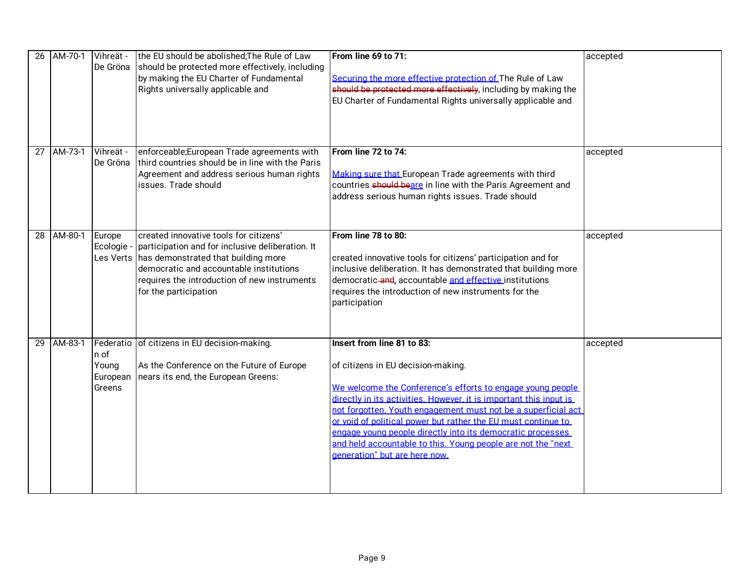| 26 | AM-70-1 | Vihreät -<br>De Gröna               | the EU should be abolished; The Rule of Law<br>should be protected more effectively, including<br>by making the EU Charter of Fundamental<br>Rights universally applicable and                                                                                  | From line 69 to 71:<br>Securing the more effective protection of The Rule of Law<br>should be protected more effectively, including by making the<br>EU Charter of Fundamental Rights universally applicable and                                                                                                                                                                                                                                                                                      | accepted |
|----|---------|-------------------------------------|-----------------------------------------------------------------------------------------------------------------------------------------------------------------------------------------------------------------------------------------------------------------|-------------------------------------------------------------------------------------------------------------------------------------------------------------------------------------------------------------------------------------------------------------------------------------------------------------------------------------------------------------------------------------------------------------------------------------------------------------------------------------------------------|----------|
| 27 | AM-73-1 | Vihreät -<br>De Gröna               | enforceable; European Trade agreements with<br>third countries should be in line with the Paris<br>Agreement and address serious human rights<br>issues. Trade should                                                                                           | From line 72 to 74:<br>Making sure that European Trade agreements with third<br>countries should beare in line with the Paris Agreement and<br>address serious human rights issues. Trade should                                                                                                                                                                                                                                                                                                      | accepted |
| 28 | AM-80-1 | Europe<br>Ecologie -                | created innovative tools for citizens'<br>participation and for inclusive deliberation. It<br>Les Verts has demonstrated that building more<br>democratic and accountable institutions<br>requires the introduction of new instruments<br>for the participation | From line 78 to 80:<br>created innovative tools for citizens' participation and for<br>inclusive deliberation. It has demonstrated that building more<br>democratic-and, accountable and effective institutions<br>requires the introduction of new instruments for the<br>participation                                                                                                                                                                                                              | accepted |
| 29 | AM-83-1 | n of<br>Young<br>European<br>Greens | Federatio of citizens in EU decision-making.<br>As the Conference on the Future of Europe<br>nears its end, the European Greens:                                                                                                                                | Insert from line 81 to 83:<br>of citizens in EU decision-making.<br>We welcome the Conference's efforts to engage young people<br>directly in its activities. However, it is important this input is<br>not forgotten. Youth engagement must not be a superficial act<br>or void of political power but rather the EU must continue to<br>engage voung people directly into its democratic processes<br>and held accountable to this. Young people are not the "next<br>generation" but are here now. | accepted |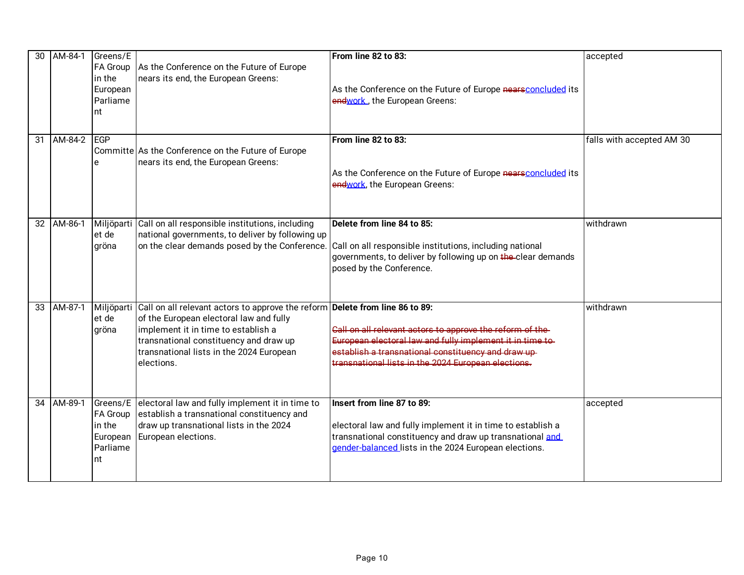| 30 | AM-84-1 | Greens/E<br><b>FA Group</b><br>in the<br>European<br>Parliame<br>nt | As the Conference on the Future of Europe<br>nears its end, the European Greens:                                                                                                                                                                                   | From line 82 to 83:<br>As the Conference on the Future of Europe nearsconcluded its<br>endwork, the European Greens:                                                                                                                 | accepted                  |
|----|---------|---------------------------------------------------------------------|--------------------------------------------------------------------------------------------------------------------------------------------------------------------------------------------------------------------------------------------------------------------|--------------------------------------------------------------------------------------------------------------------------------------------------------------------------------------------------------------------------------------|---------------------------|
| 31 | AM-84-2 | <b>IEGP</b><br>e                                                    | Committe As the Conference on the Future of Europe<br>nears its end, the European Greens:                                                                                                                                                                          | From line 82 to 83:<br>As the Conference on the Future of Europe nearsconcluded its<br>endwork, the European Greens:                                                                                                                 | falls with accepted AM 30 |
| 32 | AM-86-1 | et de<br>gröna                                                      | Miljöparti Call on all responsible institutions, including<br>national governments, to deliver by following up<br>on the clear demands posed by the Conference.                                                                                                    | Delete from line 84 to 85:<br>Call on all responsible institutions, including national<br>governments, to deliver by following up on the clear demands<br>posed by the Conference.                                                   | withdrawn                 |
| 33 | AM-87-1 | Miljöparti<br>et de<br>gröna                                        | Call on all relevant actors to approve the reform Delete from line 86 to 89:<br>of the European electoral law and fully<br>implement it in time to establish a<br>transnational constituency and draw up<br>transnational lists in the 2024 European<br>elections. | Call on all relevant actors to approve the reform of the-<br>European electoral law and fully implement it in time to-<br>establish a transnational constituency and draw up-<br>transnational lists in the 2024 European elections. | withdrawn                 |
| 34 | AM-89-1 | Greens/E<br><b>FA Group</b><br>in the<br>European<br>Parliame<br>nt | electoral law and fully implement it in time to<br>establish a transnational constituency and<br>draw up transnational lists in the 2024<br>European elections.                                                                                                    | Insert from line 87 to 89:<br>electoral law and fully implement it in time to establish a<br>transnational constituency and draw up transnational and<br>gender-balanced lists in the 2024 European elections.                       | accepted                  |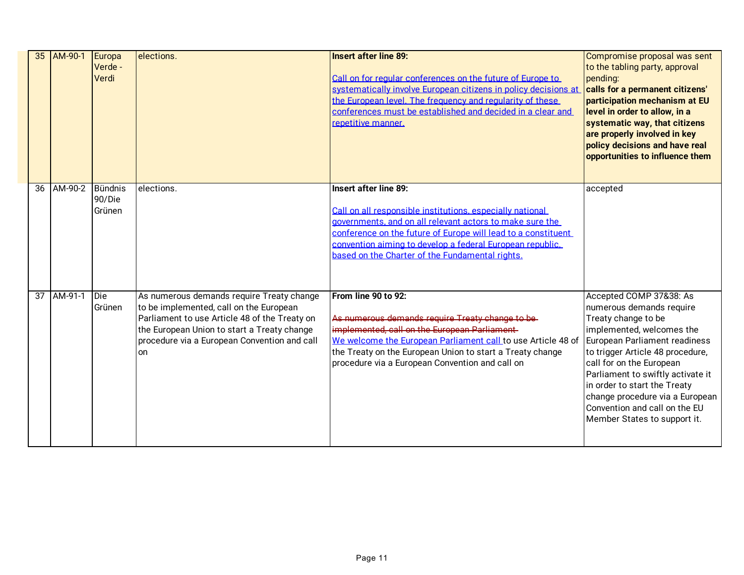| 35              | AM-90-1 | Europa<br>Verde -<br>Verdi         | elections.                                                                                                                                                                                                                                 | <b>Insert after line 89:</b><br>Call on for regular conferences on the future of Europe to<br>systematically involve European citizens in policy decisions at<br>the European level. The frequency and requiarity of these<br>conferences must be established and decided in a clear and<br>repetitive manner.                         | Compromise proposal was sent<br>to the tabling party, approval<br>pending:<br>calls for a permanent citizens'<br>participation mechanism at EU<br>level in order to allow, in a<br>systematic way, that citizens<br>are properly involved in key<br>policy decisions and have real<br>opportunities to influence them                                                             |
|-----------------|---------|------------------------------------|--------------------------------------------------------------------------------------------------------------------------------------------------------------------------------------------------------------------------------------------|----------------------------------------------------------------------------------------------------------------------------------------------------------------------------------------------------------------------------------------------------------------------------------------------------------------------------------------|-----------------------------------------------------------------------------------------------------------------------------------------------------------------------------------------------------------------------------------------------------------------------------------------------------------------------------------------------------------------------------------|
| 36              | AM-90-2 | <b>Bündnis</b><br>90/Die<br>Grünen | elections.                                                                                                                                                                                                                                 | <b>Insert after line 89:</b><br>Call on all responsible institutions, especially national<br>governments, and on all relevant actors to make sure the<br>conference on the future of Europe will lead to a constituent<br>convention aiming to develop a federal European republic.<br>based on the Charter of the Fundamental rights. | accepted                                                                                                                                                                                                                                                                                                                                                                          |
| $\overline{37}$ | AM-91-1 | Die<br>Grünen                      | As numerous demands require Treaty change<br>to be implemented, call on the European<br>Parliament to use Article 48 of the Treaty on<br>the European Union to start a Treaty change<br>procedure via a European Convention and call<br>on | From line 90 to 92:<br>As numerous demands require Treaty change to be-<br>implemented, call on the European Parliament<br>We welcome the European Parliament call to use Article 48 of<br>the Treaty on the European Union to start a Treaty change<br>procedure via a European Convention and call on                                | Accepted COMP 37&38: As<br>numerous demands require<br>Treaty change to be<br>implemented, welcomes the<br>European Parliament readiness<br>to trigger Article 48 procedure,<br>call for on the European<br>Parliament to swiftly activate it<br>in order to start the Treaty<br>change procedure via a European<br>Convention and call on the EU<br>Member States to support it. |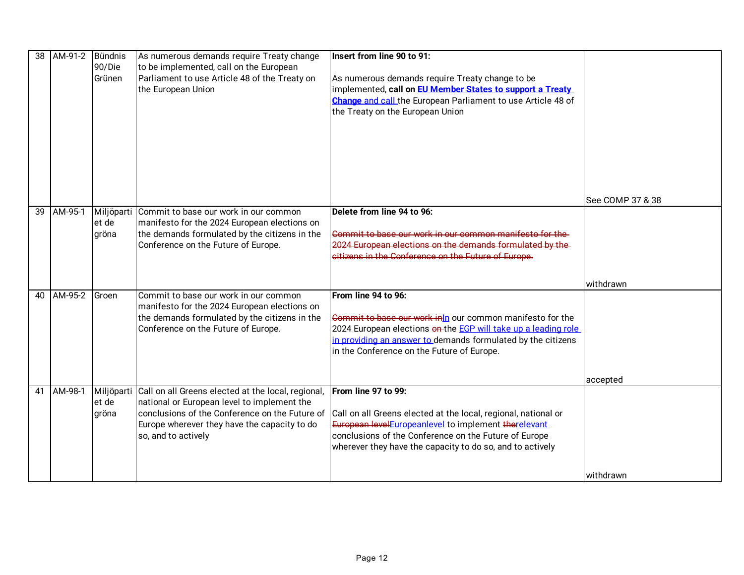| 38 | AM-91-2 | Bündnis<br>90/Die<br>Grünen  | As numerous demands require Treaty change<br>to be implemented, call on the European<br>Parliament to use Article 48 of the Treaty on<br>the European Union                                                                | Insert from line 90 to 91:<br>As numerous demands require Treaty change to be<br>implemented, call on <b>EU Member States to support a Treaty</b><br>Change and call the European Parliament to use Article 48 of<br>the Treaty on the European Union                |                  |
|----|---------|------------------------------|----------------------------------------------------------------------------------------------------------------------------------------------------------------------------------------------------------------------------|----------------------------------------------------------------------------------------------------------------------------------------------------------------------------------------------------------------------------------------------------------------------|------------------|
|    |         |                              |                                                                                                                                                                                                                            |                                                                                                                                                                                                                                                                      | See COMP 37 & 38 |
| 39 | AM-95-1 | Miljöparti<br>et de<br>gröna | Commit to base our work in our common<br>manifesto for the 2024 European elections on<br>the demands formulated by the citizens in the<br>Conference on the Future of Europe.                                              | Delete from line 94 to 96:<br>Commit to base our work in our common manifesto for the<br>2024 European elections on the demands formulated by the-<br>citizens in the Conference on the Future of Europe.                                                            |                  |
|    |         |                              |                                                                                                                                                                                                                            |                                                                                                                                                                                                                                                                      | withdrawn        |
| 40 | AM-95-2 | Groen                        | Commit to base our work in our common<br>manifesto for the 2024 European elections on<br>the demands formulated by the citizens in the<br>Conference on the Future of Europe.                                              | From line 94 to 96:<br>Commit to base our work inin our common manifesto for the<br>2024 European elections en-the EGP will take up a leading role<br>in providing an answer to demands formulated by the citizens<br>in the Conference on the Future of Europe.     |                  |
|    |         |                              |                                                                                                                                                                                                                            |                                                                                                                                                                                                                                                                      | accepted         |
| 41 | AM-98-1 | Miljöparti<br>et de<br>gröna | Call on all Greens elected at the local, regional,<br>national or European level to implement the<br>conclusions of the Conference on the Future of<br>Europe wherever they have the capacity to do<br>so, and to actively | From line 97 to 99:<br>Call on all Greens elected at the local, regional, national or<br>European level Europeanlevel to implement therelevant<br>conclusions of the Conference on the Future of Europe<br>wherever they have the capacity to do so, and to actively |                  |
|    |         |                              |                                                                                                                                                                                                                            |                                                                                                                                                                                                                                                                      | withdrawn        |